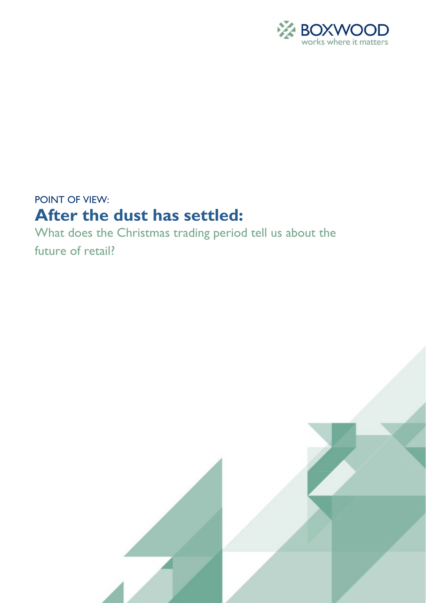

## POINT OF VIEW: **After the dust has settled:**

What does the Christmas trading period tell us about the future of retail?

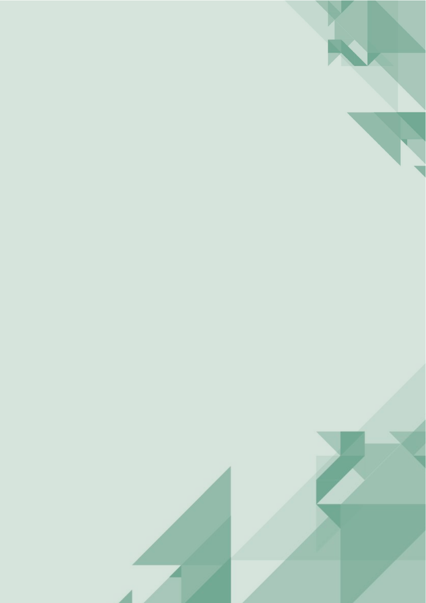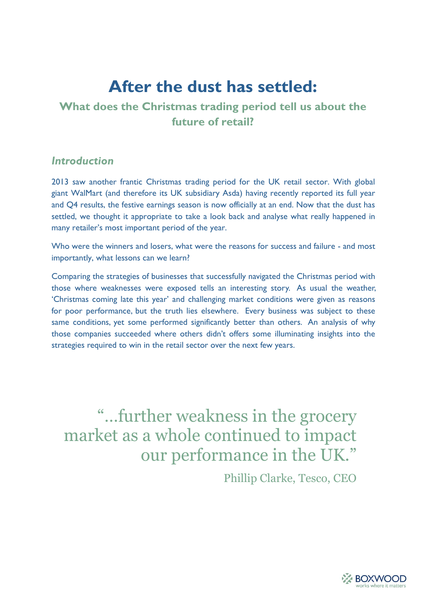# **After the dust has settled:**

## **What does the Christmas trading period tell us about the future of retail?**

#### *Introduction*

2013 saw another frantic Christmas trading period for the UK retail sector. With global giant WalMart (and therefore its UK subsidiary Asda) having recently reported its full year and Q4 results, the festive earnings season is now officially at an end. Now that the dust has settled, we thought it appropriate to take a look back and analyse what really happened in many retailer's most important period of the year.

Who were the winners and losers, what were the reasons for success and failure - and most importantly, what lessons can we learn?

Comparing the strategies of businesses that successfully navigated the Christmas period with those where weaknesses were exposed tells an interesting story. As usual the weather, 'Christmas coming late this year' and challenging market conditions were given as reasons for poor performance, but the truth lies elsewhere. Every business was subject to these same conditions, yet some performed significantly better than others. An analysis of why those companies succeeded where others didn't offers some illuminating insights into the strategies required to win in the retail sector over the next few years.

"…further weakness in the grocery market as a whole continued to impact our performance in the UK."

Phillip Clarke, Tesco, CEO

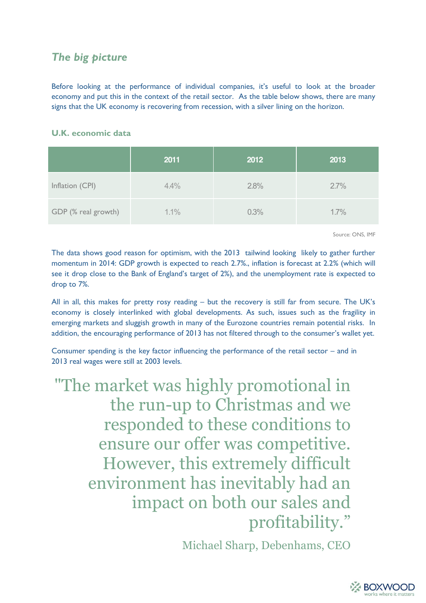## *The big picture*

Before looking at the performance of individual companies, it's useful to look at the broader economy and put this in the context of the retail sector. As the table below shows, there are many signs that the UK economy is recovering from recession, with a silver lining on the horizon.

#### **U.K. economic data**

|                     | 2011 | 2012 | 2013 |
|---------------------|------|------|------|
| Inflation (CPI)     | 4.4% | 2.8% | 2.7% |
| GDP (% real growth) | 1.1% | 0.3% | 1.7% |

Source: ONS, IMF

The data shows good reason for optimism, with the 2013 tailwind looking likely to gather further momentum in 2014: GDP growth is expected to reach 2.7%., inflation is forecast at 2.2% (which will see it drop close to the Bank of England's target of 2%), and the unemployment rate is expected to drop to 7%.

All in all, this makes for pretty rosy reading – but the recovery is still far from secure. The UK's economy is closely interlinked with global developments. As such, issues such as the fragility in emerging markets and sluggish growth in many of the Eurozone countries remain potential risks. In addition, the encouraging performance of 2013 has not filtered through to the consumer's wallet yet.

Consumer spending is the key factor influencing the performance of the retail sector – and in 2013 real wages were still at 2003 levels.

"The market was highly promotional in the run-up to Christmas and we responded to these conditions to ensure our offer was competitive. However, this extremely difficult environment has inevitably had an impact on both our sales and profitability."

Michael Sharp, Debenhams, CEO

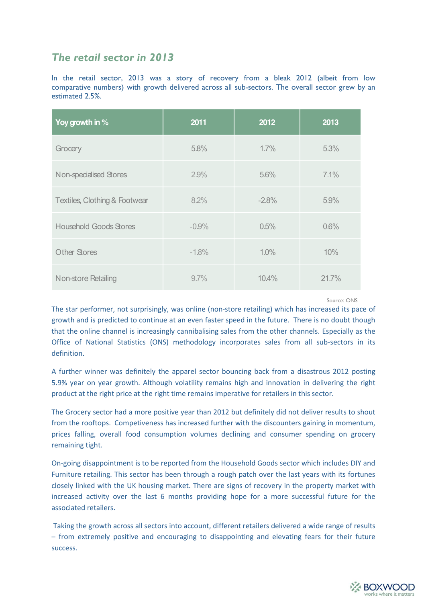#### *The retail sector in 2013*

In the retail sector, 2013 was a story of recovery from a bleak 2012 (albeit from low comparative numbers) with growth delivered across all sub-sectors. The overall sector grew by an estimated 2.5%.

| Yoy growth in %                          | 2011    | 2012    | 2013  |
|------------------------------------------|---------|---------|-------|
| Grocery                                  | 5.8%    | 1.7%    | 5.3%  |
| Non-specialised Stores                   | 2.9%    | 5.6%    | 7.1%  |
| <b>Textiles, Clothing &amp; Footwear</b> | 8.2%    | $-2.8%$ | 5.9%  |
| <b>Household Goods Stores</b>            | $-0.9%$ | 0.5%    | 0.6%  |
| <b>Other Stores</b>                      | $-1.8%$ | 1.0%    | 10%   |
| Non-store Retailing                      | $9.7\%$ | 10.4%   | 21.7% |

Source: ONS

The star performer, not surprisingly, was online (non-store retailing) which has increased its pace of growth and is predicted to continue at an even faster speed in the future. There is no doubt though that the online channel is increasingly cannibalising sales from the other channels. Especially as the Office of National Statistics (ONS) methodology incorporates sales from all sub-sectors in its definition.

A further winner was definitely the apparel sector bouncing back from a disastrous 2012 posting 5.9% year on year growth. Although volatility remains high and innovation in delivering the right product at the right price at the right time remains imperative for retailers in this sector.

The Grocery sector had a more positive year than 2012 but definitely did not deliver results to shout from the rooftops. Competiveness has increased further with the discounters gaining in momentum, prices falling, overall food consumption volumes declining and consumer spending on grocery remaining tight.

On‐going disappointment is to be reported from the Household Goods sector which includes DIY and Furniture retailing. This sector has been through a rough patch over the last years with its fortunes closely linked with the UK housing market. There are signs of recovery in the property market with increased activity over the last 6 months providing hope for a more successful future for the associated retailers.

Taking the growth across all sectors into account, different retailers delivered a wide range of results – from extremely positive and encouraging to disappointing and elevating fears for their future success.

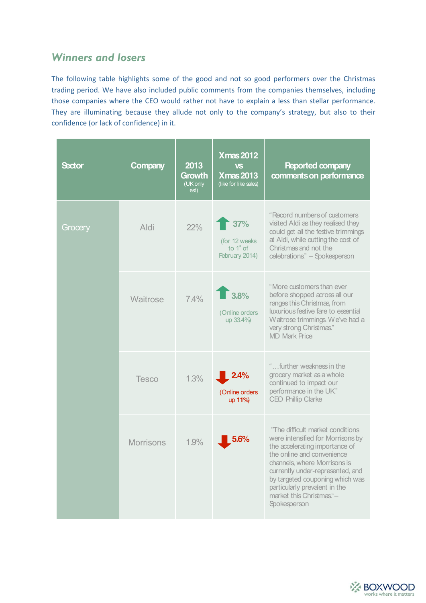#### *Winners and losers*

The following table highlights some of the good and not so good performers over the Christmas trading period. We have also included public comments from the companies themselves, including those companies where the CEO would rather not have to explain a less than stellar performance. They are illuminating because they allude not only to the company's strategy, but also to their confidence (or lack of confidence) in it.

| Sector  | Company          | 2013<br>Growth<br>(UK only<br>est) | <b>Xmas 2012</b><br><b>VS</b><br><b>Xmas 2013</b><br>(like for like sales) | <b>Reported company</b><br>comments on performance                                                                                                                                                                                                                                                                        |
|---------|------------------|------------------------------------|----------------------------------------------------------------------------|---------------------------------------------------------------------------------------------------------------------------------------------------------------------------------------------------------------------------------------------------------------------------------------------------------------------------|
| Grocery | Aldi             | 22%                                | <b>37%</b><br>(for 12 weeks)<br>to $1st$ of<br>February 2014)              | "Record numbers of customers<br>visited Aldi as they realised they<br>could get all the festive trimmings<br>at Aldi, while cutting the cost of<br>Christmas and not the<br>celebrations." - Spokesperson                                                                                                                 |
|         | Waitrose         | 7.4%                               | 3.8%<br>(Online orders<br>up 33.4%)                                        | "More customers than ever<br>before shopped across all our<br>ranges this Christmas, from<br>luxurious festive fare to essential<br>Waitrose trimmings. We've had a<br>very strong Christmas."<br><b>MD Mark Price</b>                                                                                                    |
|         | <b>Tesco</b>     | 1.3%                               | 2.4%<br>(Online orders<br>up 11%)                                          | "further weakness in the<br>grocery market as a whole<br>continued to impact our<br>performance in the UK"<br><b>CEO Phillip Clarke</b>                                                                                                                                                                                   |
|         | <b>Morrisons</b> | 1.9%                               | $5.6\%$                                                                    | "The difficult market conditions<br>were intensified for Morrisons by<br>the accelerating importance of<br>the online and convenience<br>channels, where Morrisons is<br>currently under-represented, and<br>by targeted couponing which was<br>particularly prevalent in the<br>market this Christmas."-<br>Spokesperson |

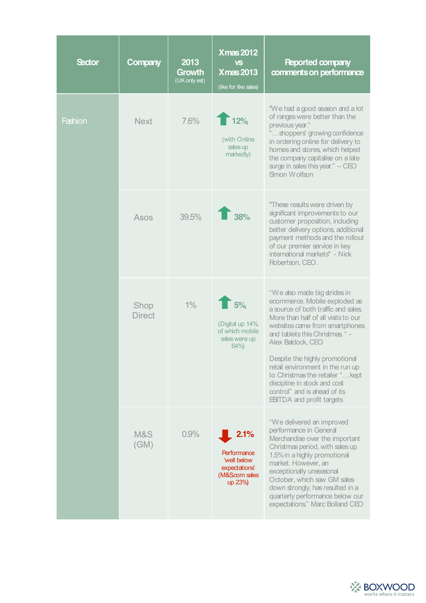| Sector  | Company               | 2013<br>Growth<br>(UK only est) | <b>Xmas 2012</b><br><b>VS</b><br>$X$ mas 2013<br>(like for like sales)          | <b>Reported company</b><br>comments on performance                                                                                                                                                                                                                                                                                                                                                                                                  |
|---------|-----------------------|---------------------------------|---------------------------------------------------------------------------------|-----------------------------------------------------------------------------------------------------------------------------------------------------------------------------------------------------------------------------------------------------------------------------------------------------------------------------------------------------------------------------------------------------------------------------------------------------|
| Fashion | <b>Next</b>           | 7.6%                            | $\Gamma$ 12%<br>(with Online<br>sales up<br>markedly)                           | "We had a good season and a lot<br>of ranges were better than the<br>previous year."<br>shoppers' growing confidence<br>in ordering online for delivery to<br>homes and stores, which helped<br>the company capitalise on a late<br>surge in sales this year." - CEO<br>Simon Wolfson                                                                                                                                                               |
|         | Asos                  | 39.5%                           | $\sqrt{38\%}$                                                                   | "These results were driven by<br>significant improvements to our<br>customer proposition, including<br>better delivery options, additional<br>payment methods and the rollout<br>of our premier service in key<br>international markets" - Nick<br>Robertson, CEO.                                                                                                                                                                                  |
|         | Shop<br><b>Direct</b> | $1\%$                           | $\sqrt{5\%}$<br>(Digital up 14%,<br>of which mobile<br>sales were up<br>64%     | "We also made big strides in<br>ecommerce. Mobile exploded as<br>a source of both traffic and sales.<br>More than half of all visits to our<br>websites came from smartphones<br>and tablets this Christmas. " -<br>Alex Baldock, CEO<br>Despite the highly promotional<br>retail environment in the run up<br>to Christmas the retailer " kept<br>discipline in stock and cost<br>control" and is ahead of its<br><b>EBITDA</b> and profit targets |
|         | M&S<br>(GM)           | 0.9%                            | 2.1%<br>Performance<br>'well below<br>expectations'<br>(M&Scom sales<br>up 23%) | "We delivered an improved<br>performance in General<br>Merchandise over the important<br>Christmas period, with sales up<br>1.5% in a highly promotional<br>market. However, an<br>exceptionally unseasonal<br>October, which saw GM sales<br>down strongly, has resulted in a<br>quarterly performance below our<br>expectations." Marc Bolland CEO                                                                                                |

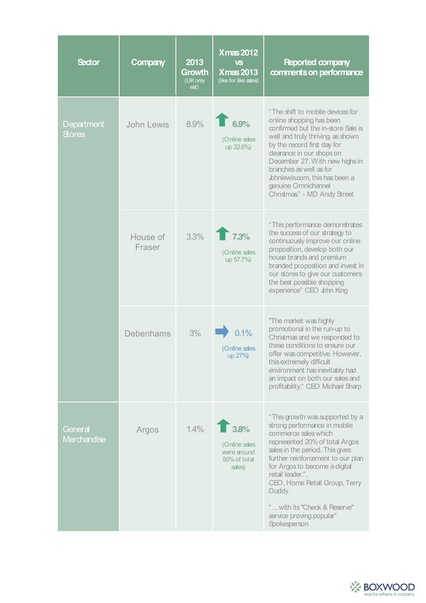| Sector                      | Company            | 2013<br>Growth<br>(UK only<br>est) | <b>Xmas 2012</b><br><b>VS</b><br><b>Xmas 2013</b><br>(like for like sales) | <b>Reported company</b><br>comments on performance                                                                                                                                                                                                                                                                                                                           |
|-----------------------------|--------------------|------------------------------------|----------------------------------------------------------------------------|------------------------------------------------------------------------------------------------------------------------------------------------------------------------------------------------------------------------------------------------------------------------------------------------------------------------------------------------------------------------------|
| Department<br><b>Stores</b> | John Lewis         | 8.9%                               | $T_{6.9\%}$<br>(Online sales<br>up 22.6%)                                  | "The shift to mobile devices for<br>online shopping has been<br>confirmed but the in-store Sale is<br>well and truly thriving, as shown<br>by the record first day for<br>clearance in our shops on<br>December 27. With new highs in<br>branches as well as for<br>Johnlewis.com, this has been a<br>genuine Omnichannel<br>Christmas." - MD Andy Street                    |
|                             | House of<br>Fraser | 3.3%                               | $\Gamma$ 7.3%<br>(Online sales<br>up 57.7%)                                | "This performance demonstrates<br>the success of our strategy to<br>continuously improve our online<br>proposition, develop both our<br>house brands and premium<br>branded proposition and invest in<br>our stores to give our customers<br>the best possible shopping<br>experience" CEO John King                                                                         |
|                             | <b>Debenhams</b>   | 3%                                 | 0.1%<br>(Online sales<br>up 27%)                                           | "The market was highly<br>promotional in the run-up to<br>Christmas and we responded to<br>these conditions to ensure our<br>offer was competitive. However,<br>this extremely difficult<br>environment has inevitably had<br>an impact on both our sales and<br>profitability." CEO Michael Sharp                                                                           |
| General<br>Merchandise      | Argos              | 1.4%                               | $\sqrt{3.8\%}$<br>(Online sales<br>were around<br>50% of total<br>sales)   | "This growth was supported by a<br>strong performance in mobile<br>commerce sales which<br>represented 20% of total Argos<br>sales in the period. This gives<br>further reinforcement to our plan<br>for Argos to become a digital<br>retail leader.",<br>CEO, Home Retail Group, Terry<br>Duddy<br>" with its "Check & Reserve"<br>service proving popular"<br>Spokesperson |

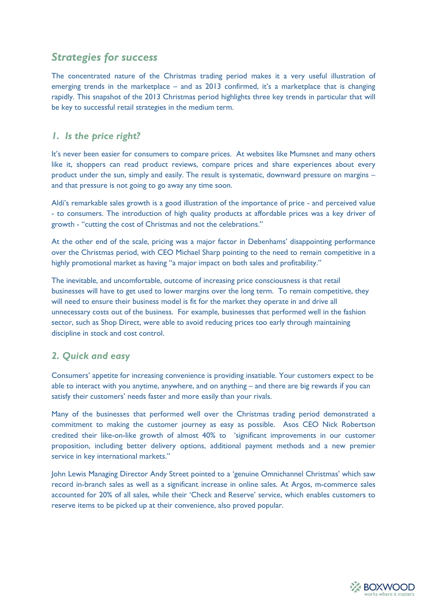#### *Strategies for success*

The concentrated nature of the Christmas trading period makes it a very useful illustration of emerging trends in the marketplace – and as 2013 confirmed, it's a marketplace that is changing rapidly. This snapshot of the 2013 Christmas period highlights three key trends in particular that will be key to successful retail strategies in the medium term.

#### *1. Is the price right?*

It's never been easier for consumers to compare prices. At websites like Mumsnet and many others like it, shoppers can read product reviews, compare prices and share experiences about every product under the sun, simply and easily. The result is systematic, downward pressure on margins – and that pressure is not going to go away any time soon.

Aldi's remarkable sales growth is a good illustration of the importance of price - and perceived value - to consumers. The introduction of high quality products at affordable prices was a key driver of growth - "cutting the cost of Christmas and not the celebrations."

At the other end of the scale, pricing was a major factor in Debenhams' disappointing performance over the Christmas period, with CEO Michael Sharp pointing to the need to remain competitive in a highly promotional market as having "a major impact on both sales and profitability."

The inevitable, and uncomfortable, outcome of increasing price consciousness is that retail businesses will have to get used to lower margins over the long term. To remain competitive, they will need to ensure their business model is fit for the market they operate in and drive all unnecessary costs out of the business. For example, businesses that performed well in the fashion sector, such as Shop Direct, were able to avoid reducing prices too early through maintaining discipline in stock and cost control.

#### *2. Quick and easy*

Consumers' appetite for increasing convenience is providing insatiable. Your customers expect to be able to interact with you anytime, anywhere, and on anything – and there are big rewards if you can satisfy their customers' needs faster and more easily than your rivals.

Many of the businesses that performed well over the Christmas trading period demonstrated a commitment to making the customer journey as easy as possible. Asos CEO Nick Robertson credited their like-on-like growth of almost 40% to 'significant improvements in our customer proposition, including better delivery options, additional payment methods and a new premier service in key international markets."

John Lewis Managing Director Andy Street pointed to a 'genuine Omnichannel Christmas' which saw record in-branch sales as well as a significant increase in online sales. At Argos, m-commerce sales accounted for 20% of all sales, while their 'Check and Reserve' service, which enables customers to reserve items to be picked up at their convenience, also proved popular.

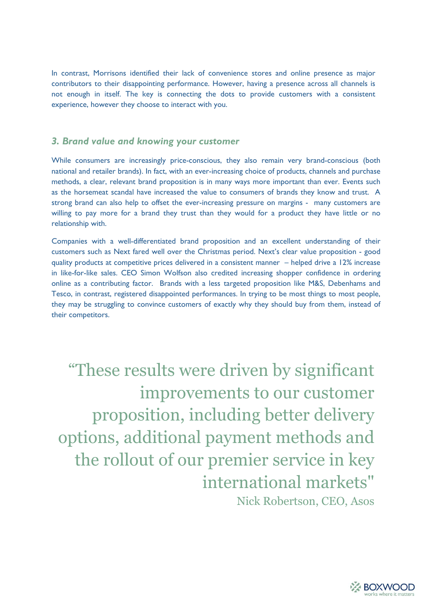In contrast, Morrisons identified their lack of convenience stores and online presence as major contributors to their disappointing performance. However, having a presence across all channels is not enough in itself. The key is connecting the dots to provide customers with a consistent experience, however they choose to interact with you.

#### *3. Brand value and knowing your customer*

While consumers are increasingly price-conscious, they also remain very brand-conscious (both national and retailer brands). In fact, with an ever-increasing choice of products, channels and purchase methods, a clear, relevant brand proposition is in many ways more important than ever. Events such as the horsemeat scandal have increased the value to consumers of brands they know and trust. A strong brand can also help to offset the ever-increasing pressure on margins - many customers are willing to pay more for a brand they trust than they would for a product they have little or no relationship with.

Companies with a well-differentiated brand proposition and an excellent understanding of their customers such as Next fared well over the Christmas period. Next's clear value proposition - good quality products at competitive prices delivered in a consistent manner – helped drive a 12% increase in like-for-like sales. CEO Simon Wolfson also credited increasing shopper confidence in ordering online as a contributing factor. Brands with a less targeted proposition like M&S, Debenhams and Tesco, in contrast, registered disappointed performances. In trying to be most things to most people, they may be struggling to convince customers of exactly why they should buy from them, instead of their competitors.

"These results were driven by significant improvements to our customer proposition, including better delivery options, additional payment methods and the rollout of our premier service in key international markets" Nick Robertson, CEO, Asos

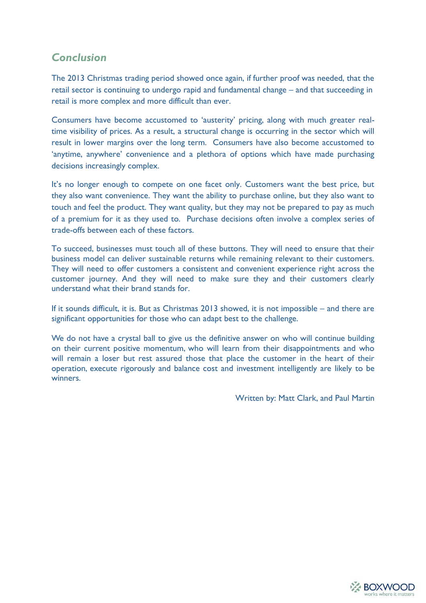## *Conclusion*

The 2013 Christmas trading period showed once again, if further proof was needed, that the retail sector is continuing to undergo rapid and fundamental change – and that succeeding in retail is more complex and more difficult than ever.

Consumers have become accustomed to 'austerity' pricing, along with much greater realtime visibility of prices. As a result, a structural change is occurring in the sector which will result in lower margins over the long term. Consumers have also become accustomed to 'anytime, anywhere' convenience and a plethora of options which have made purchasing decisions increasingly complex.

It's no longer enough to compete on one facet only. Customers want the best price, but they also want convenience. They want the ability to purchase online, but they also want to touch and feel the product. They want quality, but they may not be prepared to pay as much of a premium for it as they used to. Purchase decisions often involve a complex series of trade-offs between each of these factors.

To succeed, businesses must touch all of these buttons. They will need to ensure that their business model can deliver sustainable returns while remaining relevant to their customers. They will need to offer customers a consistent and convenient experience right across the customer journey. And they will need to make sure they and their customers clearly understand what their brand stands for.

If it sounds difficult, it is. But as Christmas 2013 showed, it is not impossible – and there are significant opportunities for those who can adapt best to the challenge.

We do not have a crystal ball to give us the definitive answer on who will continue building on their current positive momentum, who will learn from their disappointments and who will remain a loser but rest assured those that place the customer in the heart of their operation, execute rigorously and balance cost and investment intelligently are likely to be winners.

Written by: Matt Clark, and Paul Martin